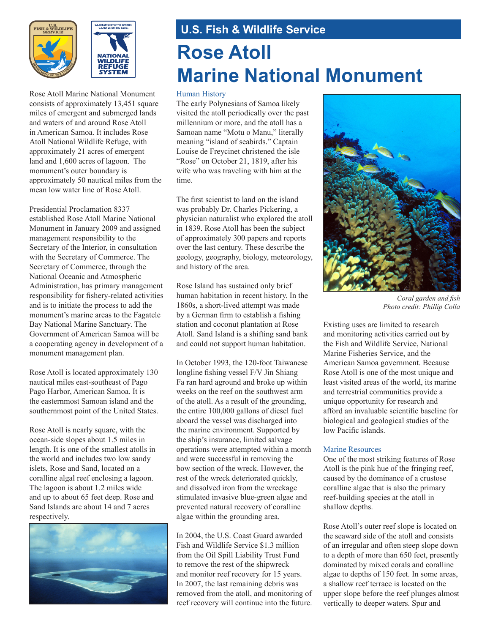



Rose Atoll Marine National Monument consists of approximately 13,451 square miles of emergent and submerged lands and waters of and around Rose Atoll in American Samoa. It includes Rose Atoll National Wildlife Refuge, with approximately 21 acres of emergent land and 1,600 acres of lagoon. The monument's outer boundary is approximately 50 nautical miles from the mean low water line of Rose Atoll.

Presidential Proclamation 8337 established Rose Atoll Marine National Monument in January 2009 and assigned management responsibility to the Secretary of the Interior, in consultation with the Secretary of Commerce. The Secretary of Commerce, through the National Oceanic and Atmospheric Administration, has primary management responsibility for fishery-related activities and is to initiate the process to add the monument's marine areas to the Fagatele Bay National Marine Sanctuary. The Government of American Samoa will be a cooperating agency in development of a monument management plan.

Rose Atoll is located approximately 130 nautical miles east-southeast of Pago Pago Harbor, American Samoa. It is the easternmost Samoan island and the southernmost point of the United States.

Rose Atoll is nearly square, with the ocean-side slopes about 1.5 miles in length. It is one of the smallest atolls in the world and includes two low sandy islets, Rose and Sand, located on a coralline algal reef enclosing a lagoon. The lagoon is about 1.2 miles wide and up to about 65 feet deep. Rose and Sand Islands are about 14 and 7 acres respectively.



## **U.S. Fish & Wildlife Service Rose Atoll Marine National Monument**

## Human History

The early Polynesians of Samoa likely visited the atoll periodically over the past millennium or more, and the atoll has a Samoan name "Motu o Manu," literally meaning "island of seabirds." Captain Louise de Freycinet christened the isle "Rose" on October 21, 1819, after his wife who was traveling with him at the time.

The first scientist to land on the island was probably Dr. Charles Pickering, a physician naturalist who explored the atoll in 1839. Rose Atoll has been the subject of approximately 300 papers and reports over the last century. These describe the geology, geography, biology, meteorology, and history of the area.

Rose Island has sustained only brief human habitation in recent history. In the 1860s, a short-lived attempt was made by a German firm to establish a fishing station and coconut plantation at Rose Atoll. Sand Island is a shifting sand bank and could not support human habitation.

In October 1993, the 120-foot Taiwanese longline fishing vessel F/V Jin Shiang Fa ran hard aground and broke up within weeks on the reef on the southwest arm of the atoll. As a result of the grounding, the entire 100,000 gallons of diesel fuel aboard the vessel was discharged into the marine environment. Supported by the ship's insurance, limited salvage operations were attempted within a month and were successful in removing the bow section of the wreck. However, the rest of the wreck deteriorated quickly, and dissolved iron from the wreckage stimulated invasive blue-green algae and prevented natural recovery of coralline algae within the grounding area.

In 2004, the U.S. Coast Guard awarded Fish and Wildlife Service \$1.3 million from the Oil Spill Liability Trust Fund to remove the rest of the shipwreck and monitor reef recovery for 15 years. In 2007, the last remaining debris was removed from the atoll, and monitoring of reef recovery will continue into the future.



*Coral garden and fish Photo credit: Phillip Colla*

Existing uses are limited to research and monitoring activities carried out by the Fish and Wildlife Service, National Marine Fisheries Service, and the American Samoa government. Because Rose Atoll is one of the most unique and least visited areas of the world, its marine and terrestrial communities provide a unique opportunity for research and afford an invaluable scientific baseline for biological and geological studies of the low Pacific islands.

## Marine Resources

One of the most striking features of Rose Atoll is the pink hue of the fringing reef, caused by the dominance of a crustose coralline algae that is also the primary reef-building species at the atoll in shallow depths.

Rose Atoll's outer reef slope is located on the seaward side of the atoll and consists of an irregular and often steep slope down to a depth of more than 650 feet, presently dominated by mixed corals and coralline algae to depths of 150 feet. In some areas, a shallow reef terrace is located on the upper slope before the reef plunges almost vertically to deeper waters. Spur and